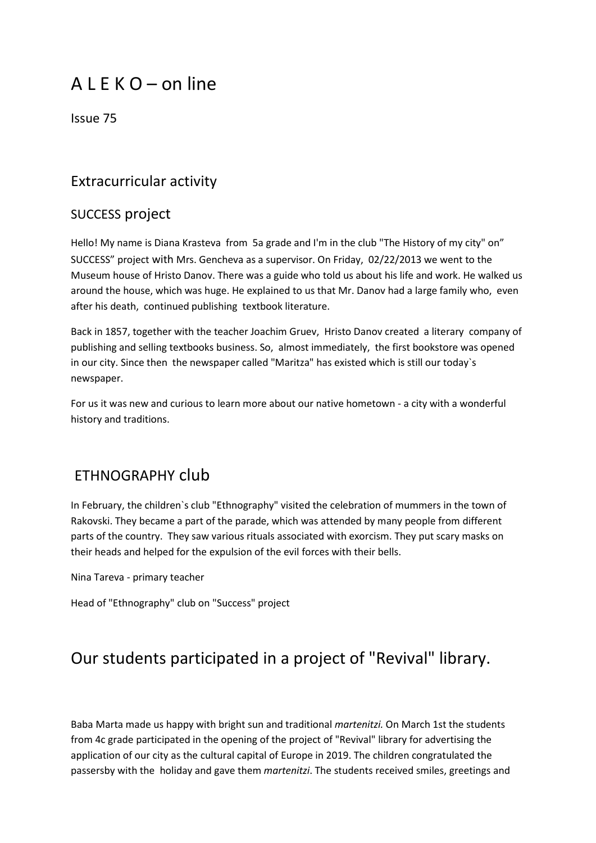# A L E K O – on line

Issue 75

### Еxtracurricular activity

### SUCCESS project

Hello! My name is Diana Krasteva from 5a grade and I'm in the club "The History of my city" on" SUCCESS" project with Mrs. Gencheva as a supervisor. On Friday, 02/22/2013 we went to the Museum house of Hristo Danov. There was a guide who told us about his life and work. He walked us around the house, which was huge. He explained to us that Mr. Danov had a large family who, even after his death, continued publishing textbook literature.

Back in 1857, together with the teacher Joachim Gruev, Hristo Danov created a literary company of publishing and selling textbooks business. So, almost immediately, the first bookstore was opened in our city. Since then the newspaper called "Maritza" has existed which is still our today`s newspaper.

For us it was new and curious to learn more about our native hometown - a city with a wonderful history and traditions.

## ETHNOGRAPHY club

In February, the children`s club "Ethnography" visited the celebration of mummers in the town of Rakovski. They became a part of the parade, which was attended by many people from different parts of the country. They saw various rituals associated with exorcism. They put scary masks on their heads and helped for the expulsion of the evil forces with their bells.

Nina Tareva - primary teacher

Head of "Ethnography" club on "Success" project

# Our students participated in a project of "Revival" library.

Baba Marta made us happy with bright sun and traditional *martenitzi.* On March 1st the students from 4c grade participated in the opening of the project of "Revival" library for advertising the application of our city as the cultural capital of Europe in 2019. The children congratulated the passersby with the holiday and gave them *martenitzi*. The students received smiles, greetings and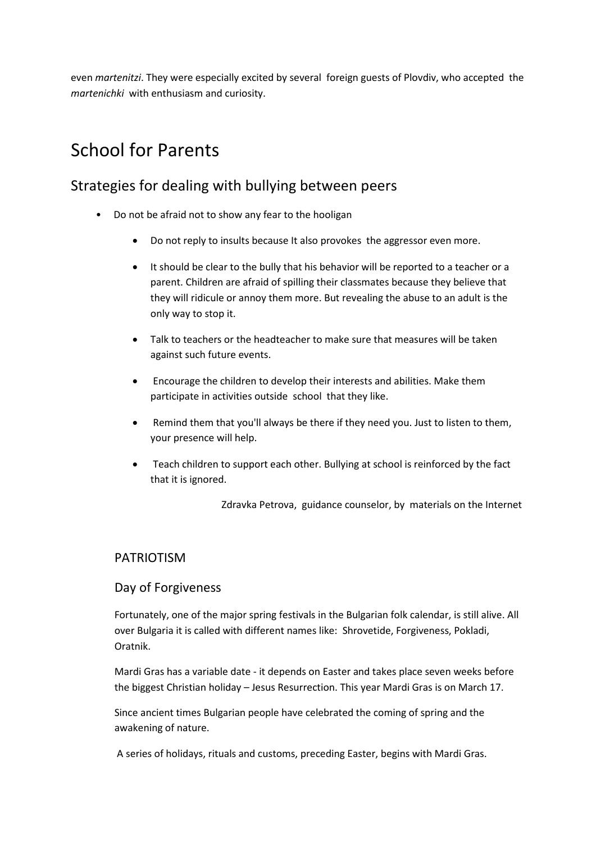even *martenitzi*. They were especially excited by several foreign guests of Plovdiv, who accepted the *martenichki* with enthusiasm and curiosity.

# School for Parents

## Strategies for dealing with bullying between peers

- Do not be afraid not to show any fear to the hooligan
	- Do not reply to insults because It also provokes the aggressor even more.
	- It should be clear to the bully that his behavior will be reported to a teacher or a parent. Children are afraid of spilling their classmates because they believe that they will ridicule or annoy them more. But revealing the abuse to an adult is the only way to stop it.
	- Talk to teachers or the headteacher to make sure that measures will be taken against such future events.
	- Encourage the children to develop their interests and abilities. Make them participate in activities outside school that they like.
	- Remind them that you'll always be there if they need you. Just to listen to them, your presence will help.
	- Teach children to support each other. Bullying at school is reinforced by the fact that it is ignored.

Zdravka Petrova, guidance counselor, by materials on the Internet

#### PATRIOTISM

#### Day of Forgiveness

Fortunately, one of the major spring festivals in the Bulgarian folk calendar, is still alive. All over Bulgaria it is called with different names like: Shrovetide, Forgiveness, Pokladi, Oratnik.

Mardi Gras has a variable date - it depends on Easter and takes place seven weeks before the biggest Christian holiday – Jesus Resurrection. This year Mardi Gras is on March 17.

Since ancient times Bulgarian people have celebrated the coming of spring and the awakening of nature.

A series of holidays, rituals and customs, preceding Easter, begins with Mardi Gras.